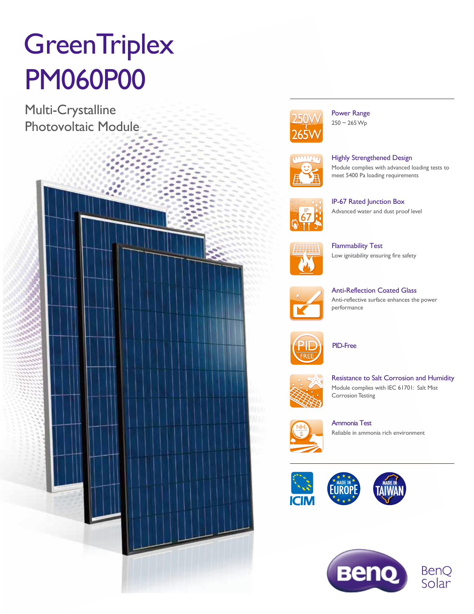# **GreenTriplex** PM060P00

Multi-Crystalline Photovoltaic Module





Power Range  $250 - 265 \,\mathrm{Wp}$ 



Highly Strengthened Design Module complies with advanced loading tests to meet 5400 Pa loading requirements



Advanced water and dust proof level

IP-67 Rated Junction Box



Flammability Test Low ignitability ensuring fire safety



Anti-Reflection Coated Glass Anti-reflective surface enhances the power performance



PID-Free



Resistance to Salt Corrosion and Humidity Module complies with IEC 61701: Salt Mist **Corrosion Testing** 



Ammonia Test Reliable in ammonia rich environment